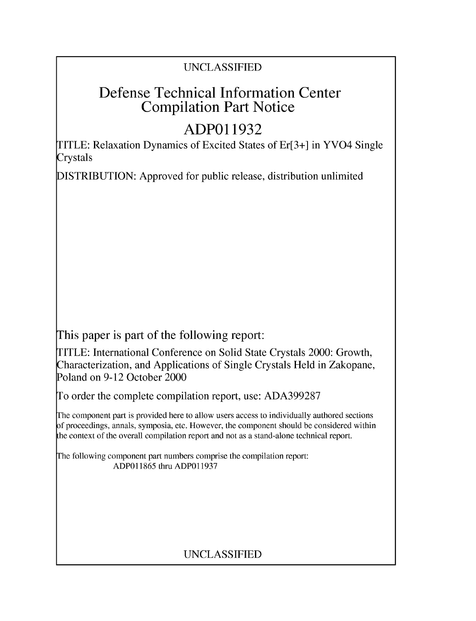## UNCLASSIFIED

# Defense Technical Information Center Compilation Part Notice

# **ADPO1 1932**

TITLE: Relaxation Dynamics of Excited States of Er[3+] in YVO4 Single Crystals

DISTRIBUTION: Approved for public release, distribution unlimited

This paper is part of the following report:

TITLE: International Conference on Solid State Crystals 2000: Growth, Characterization, and Applications of Single Crystals Held in Zakopane, Poland on 9-12 October 2000

To order the complete compilation report, use: ADA399287

The component part is provided here to allow users access to individually authored sections f proceedings, annals, symposia, etc. However, the component should be considered within [he context of the overall compilation report and not as a stand-alone technical report.

The following component part numbers comprise the compilation report: ADP011865 thru ADP011937

## UNCLASSIFIED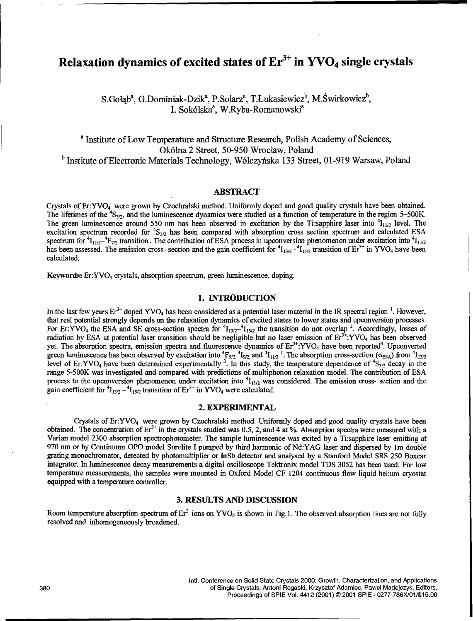### Relaxation dynamics of excited states of  $Er<sup>3+</sup>$  in  $\text{YVO}_4$  single crystals

S.Gołąb<sup>a</sup>, G.Dominiak-Dzik<sup>a</sup>, P.Solarz<sup>a</sup>, T.Łukasiewicz<sup>b</sup>, M.Świrkowicz<sup>b</sup>, I. Sokólska<sup>a</sup>, W.Ryba-Romanowski<sup>a</sup>

a Institute of Low Temperature and Structure Research, Polish Academy of Sciences, Ok6lna 2 Street, 50-950 Wroclaw, Poland <sup>b</sup> Institute of Electronic Materials Technology, Wólczyńska 133 Street, 01-919 Warsaw, Poland

#### ABSTRACT

Crystals of Er:YVO4 were grown by Czochralski method. Uniformly doped and good quality crystals have been obtained. The lifetimes of the <sup>4</sup>S<sub>3/2</sub>, and the luminescence dynamics were studied as a function of temperature in the region 5–500K. The green luminescence around 550 nm has been observed in excitation by the Ti:sapphire laser into  ${}^{4}I_{11/2}$  level. The excitation spectrum recorded for <sup>4</sup>S<sub>3/2</sub> has been compared with absorption cross section spectrum and calculated ESA spectrum for  ${}^4I_{11/2}$  + $F_{7/2}$  transition. The contribution of ESA process in upconversion phenomenon under excitation into  ${}^4I_{11/2}$ has been assessed. The emission cross- section and the gain coefficient for  ${}^4I_{13/2} - {}^4I_{15/2}$  transition of  $Er^{3+}$  in YVO<sub>4</sub> have been calculated.

Keywords: Er:YVO<sub>4</sub> crystals, absorption spectrum, green luminescence, doping.

#### **1. INTRODUCTION**

In the last few years  $Er^{3+}$  doped YVO<sub>4</sub> has been considered as a potential laser material in the IR spectral region<sup>1</sup>. However that real potential strongly depends on the relaxation dynamics of excited states to lower states and upconversion processes. For Er:YVO<sub>4</sub> the ESA and SE cross-section spectra for  ${}^{4}I_{13/2}$  $-{}^{4}I_{15/2}$  the transition do not overlap <sup>2</sup>. Accordingly, losses of radiation by ESA at potential laser transition should be negligible but no laser emission of  $Er^{3+}$ :YVO<sub>4</sub> has been observed yet. The absorption spectra, emission spectra and fluorescence dynamics of  $Er^{3+}$ :YVO<sub>4</sub> have been reported<sup>3</sup>. Upconverted green luminescence has been observed by excitation into  ${}^4F_{9/2}$ ,  ${}^4I_{9/2}$  and  ${}^4I_{11/2}$  <sup>1</sup>. The absorption cross-section ( $\sigma_{ESA}$ ) from  ${}^4I_{13/2}$ level of Er:YVO<sub>4</sub> have been determined experimentally <sup>3</sup>. In this study, the temperature dependence of <sup>4</sup>S<sub>3/2</sub> decay in the range 5-500K was investigated and compared with predictions of multiphonon relaxation model. The contribution of ESA process to the upconversion phenomenon under excitation into  $^{4}I_{11/2}$  was considered. The emission cross- section and the gain coefficient for  ${}^4I_{13/2} - {}^4I_{15/2}$  transition of  $Er^{3+}$  in YVO<sub>4</sub> were calculated.

#### 2. EXPERIMENTAL

Crystals of Er:YVO<sub>4</sub> were grown by Czochralski method. Uniformly doped and good quality crystals have been obtained. The concentration of **Er?'** in the crystals studied was 0.5, 2, and 4 at **%.** Absorption spectra were measured with a Varian model 2300 absorption spectrophotometer. The sample luminescence was exited by a Ti:sapphire laser emitting at 970 nm or by Continuum OPO model Surelite I pumped by third harmonic of Nd:YAG laser and dispersed by Im double grating monochromator, detected by photomultiplier or InSb detector and analysed by a Stanford Model SRS 250 Boxcar integrator. In luminescence decay measurements a digital oscilloscope Tektronix model TDS 3052 has been used. For low temperature measurements, the samples were mounted in Oxford Model CF 1204 continuous flow liquid helium cryostat equipped with a temperature controller.

### **3. RESULTS AND DISCUSSION**

Room temperature absorption spectrum of  $Er^3$  ions on YVO<sub>4</sub> is shown in Fig.1. The observed absorption lines are not fully resolved and inhomogeneously broadened.

intl. Conference on Solid State Crystals 2000: Growth, Characterization, and Applications 380 of Single Crystals, Antoni Rogaski, Krzysztof Adamiec, Pawel Madejczyk, Editors, Proceedings of SPIE Vol. 4412 (2001) © 2001 SPIE **.** 0277-786X/01/\$15.00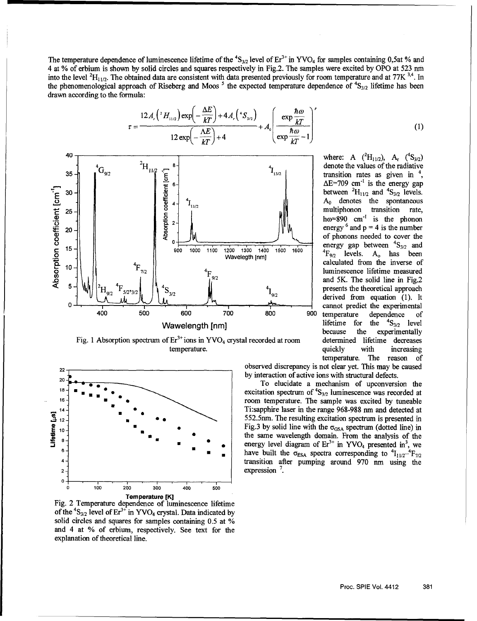The temperature dependence of luminescence lifetime of the  ${}^{4}S_{3/2}$  level of  $Er^{3+}$  in YVO<sub>4</sub> for samples containing 0,5at % and 4 at % of erbium is shown by solid circles and squares respectively in Fig.2. The samples were excited by OPO at 523 nm into the level  ${}^{2}H_{11/2}$ . The obtained data are consistent with data presented previously for room temperature and at 77K  ${}^{3,4}$ . In the phenomenological approach of Riseberg and Moos<sup>5</sup> the expected temperature dependence of <sup>4</sup>S<sub>3/2</sub> lifetime has been drawn according to the formula:

$$
\tau = \frac{12 A_{r} \left(^{2}H_{11/2}\right) \exp\left(-\frac{\Delta E}{kT}\right) + 4 A_{r} \left(^{4}S_{3/2}\right)}{12 \exp\left(-\frac{\Delta E}{kT}\right) + 4} + A_{0} \left(\frac{\exp\frac{\hbar \omega}{kT}}{\exp\frac{\hbar \omega}{kT} - 1}\right)^{p}
$$
(1)



22<sup>-</sup> observed discrepancy is not clear yet. This may be caused

by interaction of active ions with structural defects.<br>To elucidate a mechanism of upconversion the  $\begin{array}{c} \n\begin{array}{c} 18 \text{ } \\ \n\end{array} \end{array}$  **excitation spectrum of**  $\begin{array}{c} \n\end{array}$  $\begin{array}{c} \n\text{S}_{3/2} \text{ luminescence was recorded at} \\
\end{array}$ **16-** •room temperature. The sample was excited by tuneable Ti:sapphire laser in the range 968-988 nm and detected at  $12\frac{1}{2}$  **6 6 6 12.552.5nm. The resulting excitation spectrum is presented in** + in YV0 4 presented in<sup>3</sup> , we **6-** enrg lee diga4fE nY0 rsne **nw** have built the  $\sigma_{\text{ESA}}$  spectra corresponding to  ${}^{4}I_{11/2}{}^{4}F_{7/2}$ transition after pumping around 970 nm using the



Fig. 1 Absorption spectrum of Er<sup>3+</sup>ions in YVO<sub>4</sub> crystal recorded at room determined lifetime decreases temperature. The contract of the contract of the contract of the contract of the contract of the contract of the contract of the contract of the contract of the contract of the contract of the contract of the contract of t



Fig. 2 Temperature dependence of luminescence lifetime of the  $^{4}S_{3/2}$  level of Er<sup>3+</sup> in YVO<sub>4</sub> crystal. Data indicated by solid circles and squares for samples containing 0.5 at % and 4 at % of erbium, respectively. See text for the explanation of theoretical line.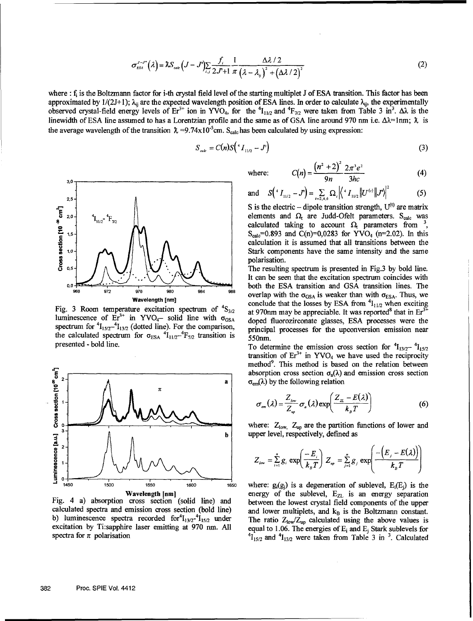$$
\sigma_{\scriptscriptstyle ES}^{J-J'}(\lambda) = \lambda S_{\scriptscriptstyle calc} \left(J-J'\right) \sum_{i,j} \frac{f_i}{2J'+1} \frac{1}{\pi} \frac{\Delta \lambda/2}{\left(\lambda - \lambda_y\right)^2 + \left(\Delta \lambda/2\right)^2} \tag{2}
$$

where : f<sub>i</sub> is the Boltzmann factor for i-th crystal field level of the starting multiplet J of ESA transition. This factor has been approximated by  $1/(2J+1)$ ;  $\lambda_{ij}$  are the expected wavelength position of ESA lines. In order to calculate  $\lambda_{ij}$ , the experimentally observed crystal-field energy levels of  $Er^{3+}$  ion in YVO<sub>4</sub>, for the  ${}^{4}I_{11/2}$  and  ${}^{4}F_{7/2}$  were taken from Table 3 in<sup>3</sup>.  $\Delta\lambda$  is the linewidth of ESA line assumed to has a Lorentzian profile and the same as of GSA line around 970 nm i.e.  $\Delta\lambda = 1$ nm;  $\lambda$  is the average wavelength of the transition  $\lambda = 9.74 \times 10^{-5}$ cm. S<sub>calc</sub> has been calculated by using expression:

$$
S_{\rm \,calc} = C(n)S\Big( {}^{4}I_{11/2} - J' \Big) \tag{3}
$$



Fig. 3 Room temperature excitation spectrum of  ${}^{4}S_{3/2}$  at 970nm may be appreciable. It was reported<sup>8</sup> that in Er<sup>31</sup> luminescence of  $Er^{3+}$  in YVO<sub>4</sub>- solid line with  $\sigma_{\text{GSA}}$ spectrum for  ${}^{4}I_{15/2}$ - ${}^{4}I_{13/2}$  (dotted line). For the comparison, principal processes for the upconversion emission near the calculated spectrum for  $\sigma_{\text{ESA}}$  <sup>4</sup> $I_{11/2}$ <sup>-4</sup> $F_{7/2}$  transition is 550nm. presented - bold line. To determine the emission cross section for  ${}^{4}I_{13/2}$ - ${}^{4}I_{15/2}$ 



calculated spectra and emission cross section (bold line)

where:  $C(n) = \frac{(n+2)2 \pi e}{2n}$  (4)

and 
$$
S(^{t}I_{11/2} - J) = \sum_{i=2,4,6} \Omega_{i} / \langle ^{t}I_{11/2} || U^{(i)} || J' \rangle |^{2}
$$
 (5)

S is the electric  $-$  dipole transition strength,  $U^{(t)}$  are matrix elements and  $\Omega_t$  are Judd-Ofelt parameters. S<sub>calc</sub> was calculated taking to account  $\Omega$  parameters from <sup>3</sup>, **1.5- 1.5 1.5 1.5 1.5 1.5 1.5 1.5 1.5 1.5 1.5 1.5 1.5 1.5 1.5 1.5 1.5 1.5 1.5 1.5 1.5 1.5 1.5 1.5 1.5 1.5 1.5 1.5 1.5 1.5 1.5 1.5 1.5 1.5 1.5 1.5 1.5** calculation it is assumed that all transitions between the **1.0- 1.0- 1.0- 1.0- 1.0- 1.0- 1.0- 1.0- 1.0- 1.0- 1.0- 1.0- 1.0- 1.0- 1.0- 1.0- 1.0- 1.0- 1.0- 1.0- 1.0- 1.0- 1.0- 1.0- 1.0- 1.0- 1.0- 1.0- 1.0- 1.0- 1.0- 1.0**polarisation.

It can be seen that the excitation spectrum coincides with 0,0 **both the ESA transition and GSA transition lines.** The **976** 989 984 988 **978** 976 984 988 **overlap with the**  $\sigma_{\text{GSA}}$  **is weaker than with**  $\sigma_{\text{ESA}}$ **. Thus, we conclude that the losses by ESA from <sup>4</sup>I<sub>11/2</sub> when exciting** doped fluorozirconate glasses, ESA processes were the

> transition of  $Er^{3+}$  in YVO<sub>4</sub> we have used the reciprocity method<sup>9</sup>. This method is based on the relation between absorption cross section  $\sigma_a(\lambda)$  and emission cross section  $a \mid \sigma_{\text{em}}(\lambda)$  by the following relation

$$
\sigma_{\scriptscriptstyle em}(\lambda) = \frac{Z_{\scriptscriptstyle low}}{Z_{\scriptscriptstyle up}} \sigma_{\scriptscriptstyle a}(\lambda) \exp\left(\frac{Z_{\scriptscriptstyle \rm Z} - E(\lambda)}{k_{\scriptscriptstyle \rm B} T}\right) \tag{6}
$$

upper level, respectively, defined as

$$
Z_{\scriptscriptstyle low} = \sum_{i=1}^n g_i \exp\left(\frac{-E_i}{k_B T}\right) Z_{\scriptscriptstyle up} = \sum_{j=1}^n g_j \exp\left(\frac{-\left(E_j - E(\lambda)\right)}{k_B T}\right)
$$

 $\begin{array}{rcl}\n\text{1450} & \text{1500} & \text{1550} \\
\text{1500} & \text{1500} & \text{1500}\n\end{array}\n\quad\n\begin{array}{rcl}\n\text{150} & \text{1500} \\
\text{1500} & \text{1500}\n\end{array}\n\quad\n\begin{array}{rcl}\n\text{150} & \text{1500} \\
\text{1500} & \text{1500}\n\end{array}\n\quad\n\begin{array}{rcl}\n\text{150} & \text{1500$ calculated spectra and emission cross section (bold line) and lower multiplets, and  $k_B$  is the Boltzmann constant.<br>b) luminescence spectra recorded for  $\frac{4I_{13/2}I_{15/2}}{I_{15/2}}$  under The ratio  $Z_{low}/Z_{un}$  calculated u b) luminescence spectra recorded for  $I_{13/2}$   $I_{15/2}$  under The ratio  $Z_{low}/Z_{up}$  calculated using the above values is excitation by Ti:sapphire laser emitting at 970 nm. All equal to 1.06. The energies of  $E_i$  and  $E_i$ excitation by Tisapphire laser emitting at 970 nm. All equal to 1.06. The energies of  $E_i$  and  $E_j$  Stark sublevels for spectra for  $\pi$  polarisation  $A_{1_{13/2}}$  and  $A_{1_{13/2}}$  were taken from Table 3 in <sup>3</sup>. Calculated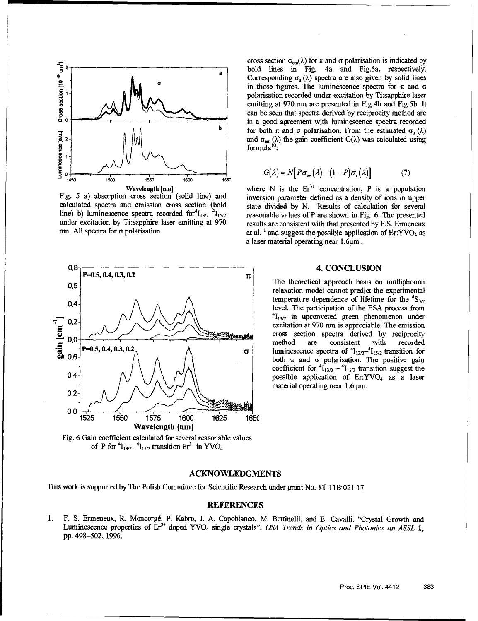

 $0,8$   $P=0.5, 0.4, 0.3, 0.2$  4. CONCLUSION **0.4, 0.3, 0.2**  $\pi$ 0,6- The theoretical approach basis on multiphonon 0.4  $\bigwedge$   $\bigwedge$   $\bigwedge$   $\bigwedge$   $\bigwedge$   $\bigwedge$   $\bigwedge$   $\bigwedge$   $\bigwedge$   $\bigwedge$   $\bigwedge$   $\bigwedge$   $\bigwedge$   $\bigwedge$   $\bigwedge$   $\bigwedge$   $\bigwedge$   $\bigwedge$   $\bigwedge$   $\bigwedge$   $\bigwedge$   $\bigwedge$   $\bigwedge$   $\bigwedge$   $\bigwedge$   $\bigwedge$   $\bigwedge$   $\bigwedge$   $\bigwedge$   $\bigwedge$   $\bigwedge$   $\begin{bmatrix} 0.2 \\ 0.0 \\ 0.6 \end{bmatrix}$ <br>  $\begin{bmatrix} 0.2 \\ -0.5, 0.4, 0.3, 0.2 \\ 0.6 \end{bmatrix}$ <br>  $\begin{bmatrix} 0.2 \\ -0.5, 0.4, 0.3, 0.2 \\ 0.6 \end{bmatrix}$ <br>  $\begin{bmatrix} 0.2 \\ -0.5, 0.4, 0.3, 0.2 \\ 0.6 \end{bmatrix}$ <br>  $\begin{bmatrix} 0.2 \\ -0.5, 0.4, 0.3, 0.2 \\ 0.6 \end{bmatrix}$ <br>  $\begin{bmatrix} 0.2$ cross section spectra derived by reciprocity<br> **P=0.5, 0.4, 0.3, 0.2,** A<br> **00** - A<br> **00** - **1** - **1** - **1** - **1** - **1** - **1** - **1** - **1** - **1** - **1** - **1** - **1** - **1** - **1** - **1** - **1** - **1** - **1** - **1** - **1** - **1** - **1** - " " **P=0.5,** 0.4,-03, *01* **T** luminescence spectra of 4113/24115/2 transition for  $\frac{300}{200}$  0,6  $\frac{1}{200}$   $\frac{1}{200}$   $\frac{1}{200}$   $\frac{1}{200}$   $\frac{1}{200}$   $\frac{1}{200}$   $\frac{1}{200}$   $\frac{1}{200}$   $\frac{1}{200}$   $\frac{1}{200}$   $\frac{1}{200}$   $\frac{1}{200}$   $\frac{1}{200}$   $\frac{1}{200}$   $\frac{1}{200}$   $\frac{1}{200}$   $\frac{1}{200}$  $0.4$   $\bigwedge / \bigvee / \bigvee$   $\bigvee$   $\bigvee$ 0,2- **0,0** 1525 1550 1575 1600 1625 165C Wavelength [nm]

Fig. 6 Gain coefficient calculated for several reasonable values of P for  ${}^{4}I_{13/2}$   ${}^{4}I_{15/2}$  transition  $Er^{3+}$  in YVO<sub>4</sub>

cross section  $\sigma_{\text{em}}(\lambda)$  for  $\pi$  and  $\sigma$  polarisation is indicated by **bold lines in Fig. 4a and Fig.5a, respectively.** Corresponding  $\sigma_a(\lambda)$  spectra are also given by solid lines in those figures. The luminescence spectra for  $\pi$  and  $\sigma$  polarisation recorded under excitation by Ti:sapphire laser emitting at 970 nm are presented in Fig.4b and Fig.5b. It can be seen that spectra derived by reciprocity method are **1** b old lines in Fig. 4a and Fig.5a, respectively.<br> **1** bold lines in Fig. 4a and Fig.5a, respectively.<br> **1** corresponding  $\sigma_a(\lambda)$  spectra are also given by solid lines<br> **1** in those figures. The luminescence spectra f  $\frac{3}{2}$  2<sup>-</sup> $\frac{1}{2}$  and  $\sigma_{cm}(\lambda)$  the gain coefficient G( $\lambda$ ) was calculated using

$$
G(\lambda) = N[P\sigma_{\scriptscriptstyle em}(\lambda) - (1 - P)\sigma_{\scriptscriptstyle a}(\lambda)] \tag{7}
$$

**Wavelength [nm]** where N is the  $Er<sup>3+</sup>$  concentration. P is a population Fig. 5 a) absorption cross section (solid line) and inversion parameter defined as a density of ions in upper calculated spectra and emission cross section (bold state divided by N. Results of calculation for several line) b) luminescence spectra recorded for  $I_{13/2}$ - $I_{15/2}$  reasonable values of P are shown in Fig. 6. The presented under excitation by Ti:sapphire laser emitting at 970 results are consistent with that presented by F.S. Ermeneux nm. All spectra for  $\sigma$  polarisation at al. <sup>1</sup> and suggest the possible application of Er:YVO<sub>4</sub> as a laser material operating near  $1.6\mu$ m.

relaxation model cannot predict the experimental level. The participation of the ESA process from excitation at 970 nm is appreciable. The emission coefficient for  ${}^{4}I_{13/2} - {}^{4}I_{15/2}$  transition suggest the material operating near 1.6  $\mu$ m.

#### **ACKNOWLEDGMENTS**

This work is supported by The Polish Committee for Scientific Research under grant No. 8T 11B 021 17

#### REFERENCES

1. F. S. Ermeneux, R. Moncorgé. P. Kabro, J. A. Capoblanco, M. Bettinelii, and E. Cavalli. "Crystal Growth and Luminescence properties of Er<sup>3+</sup> doped YVO<sub>4</sub> single crystals", *OSA Trends in Optics and Photonics an ASSL* 1, pp. 498-502, 1996.